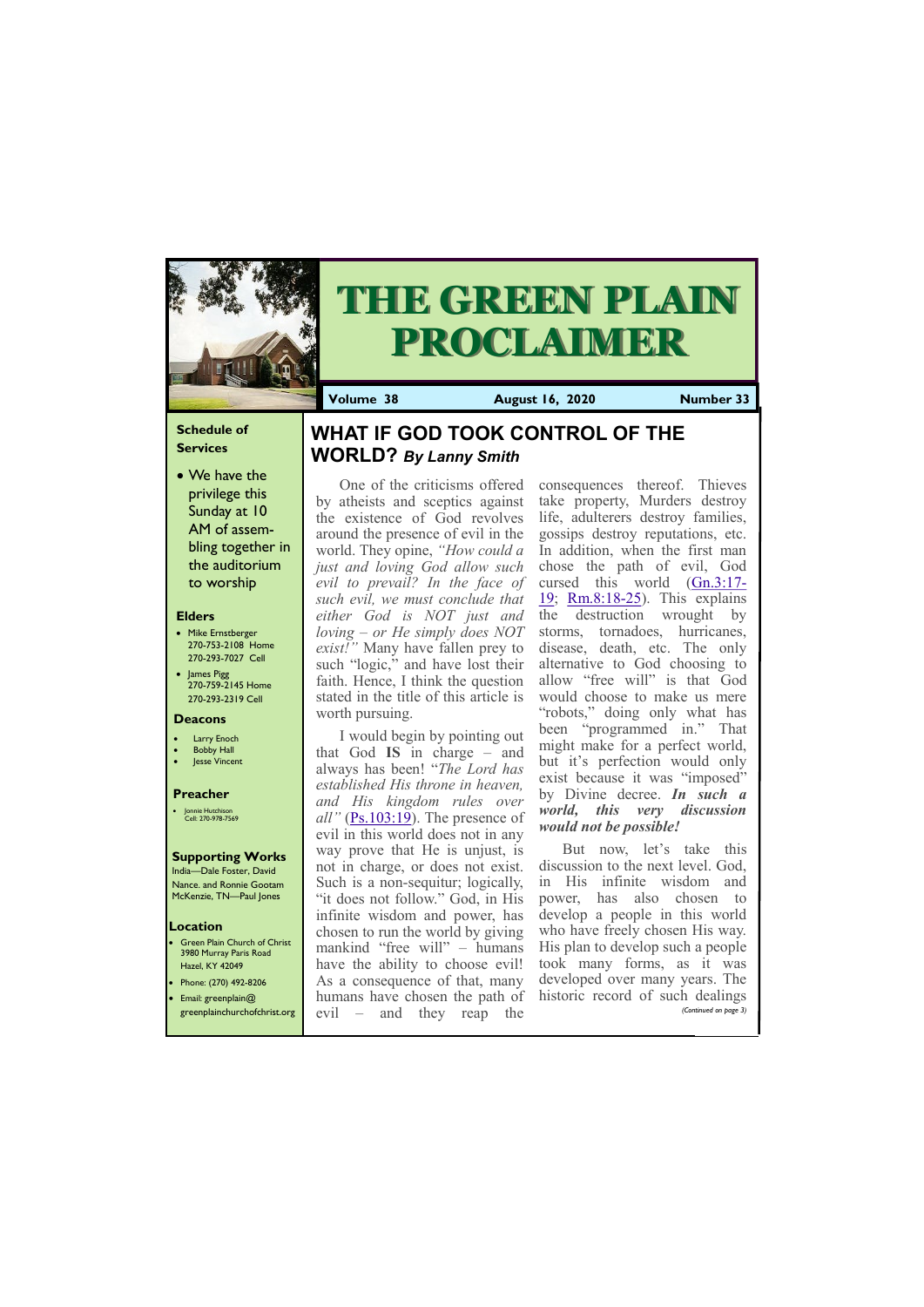# **Schedule of Services**

• We have the privilege this Sunday at 10 AM of assembling together in the auditorium to worship

### **Elders**

**Green Plain Church of Christ** 3980 Murray Paris Road Hazel, KY 42049 • Phone: (270) 492-8206

- Mike Ernstberger 270-753-2108 Home 270-293-7027 Cell
- James Pigg 270-759-2145 Home 270-293-2319 Cell

#### **Location**



# **THE GREEN PLAIN PROCLAIMER**

**Volume 38 August 16, 2020 Number 33**

#### **Deacons**

- **Larry Enoch**
- **Bobby Hall**
- **Jesse Vincent**

#### **Preacher**

• Jonnie Hutchison Cell: 270-978-7569

# **Supporting Works**

India—Dale Foster, David Nance. and Ronnie Gootam McKenzie, TN—Paul Jones

One of the criticisms offered by atheists and sceptics against the existence of God revolves around the presence of evil in the world. They opine, *"How could a just and loving God allow such evil to prevail? In the face of such evil, we must conclude that either God is NOT just and loving – or He simply does NOT exist!"* Many have fallen prey to such "logic," and have lost their faith. Hence, I think the question stated in the title of this article is worth pursuing.

I would begin by pointing out that God **IS** in charge – and always has been! "*The Lord has established His throne in heaven, and His kingdom rules over all"* [\(Ps.103:19\).](https://biblia.com/bible/nkjv/Ps.103.19) The presence of evil in this world does not in any way prove that He is unjust, is not in charge, or does not exist. Such is a non-sequitur; logically, "it does not follow." God, in His infinite wisdom and power, has chosen to run the world by giving mankind "free will" – humans have the ability to choose evil! As a consequence of that, many

| • Email: greenplain $@$ | I humans have chosen the path of historic record of such dealings           |                       |
|-------------------------|-----------------------------------------------------------------------------|-----------------------|
|                         | $\sqrt{\text{greenplane}}$ are $\sqrt{\text{greenplane}}$ and they reap the | (Continued on page 3) |

consequences thereof. Thieves take property, Murders destroy life, adulterers destroy families, gossips destroy reputations, etc. In addition, when the first man chose the path of evil, God cursed this world [\(Gn.3:17](https://biblia.com/bible/nkjv/Gen.3.17-19)- [19;](https://biblia.com/bible/nkjv/Gen.3.17-19) [Rm.8:18](https://biblia.com/bible/nkjv/Rom.8.18-25)-25). This explains the destruction wrought by storms, tornadoes, hurricanes, disease, death, etc. The only alternative to God choosing to allow "free will" is that God would choose to make us mere "robots," doing only what has been "programmed in." That might make for a perfect world, but it's perfection would only exist because it was "imposed" by Divine decree. *In such a world, this very discussion would not be possible!*

But now, let's take this discussion to the next level. God, in His infinite wisdom and power, has also chosen to develop a people in this world who have freely chosen His way. His plan to develop such a people took many forms, as it was developed over many years. The

# **WHAT IF GOD TOOK CONTROL OF THE WORLD?** *By Lanny Smith*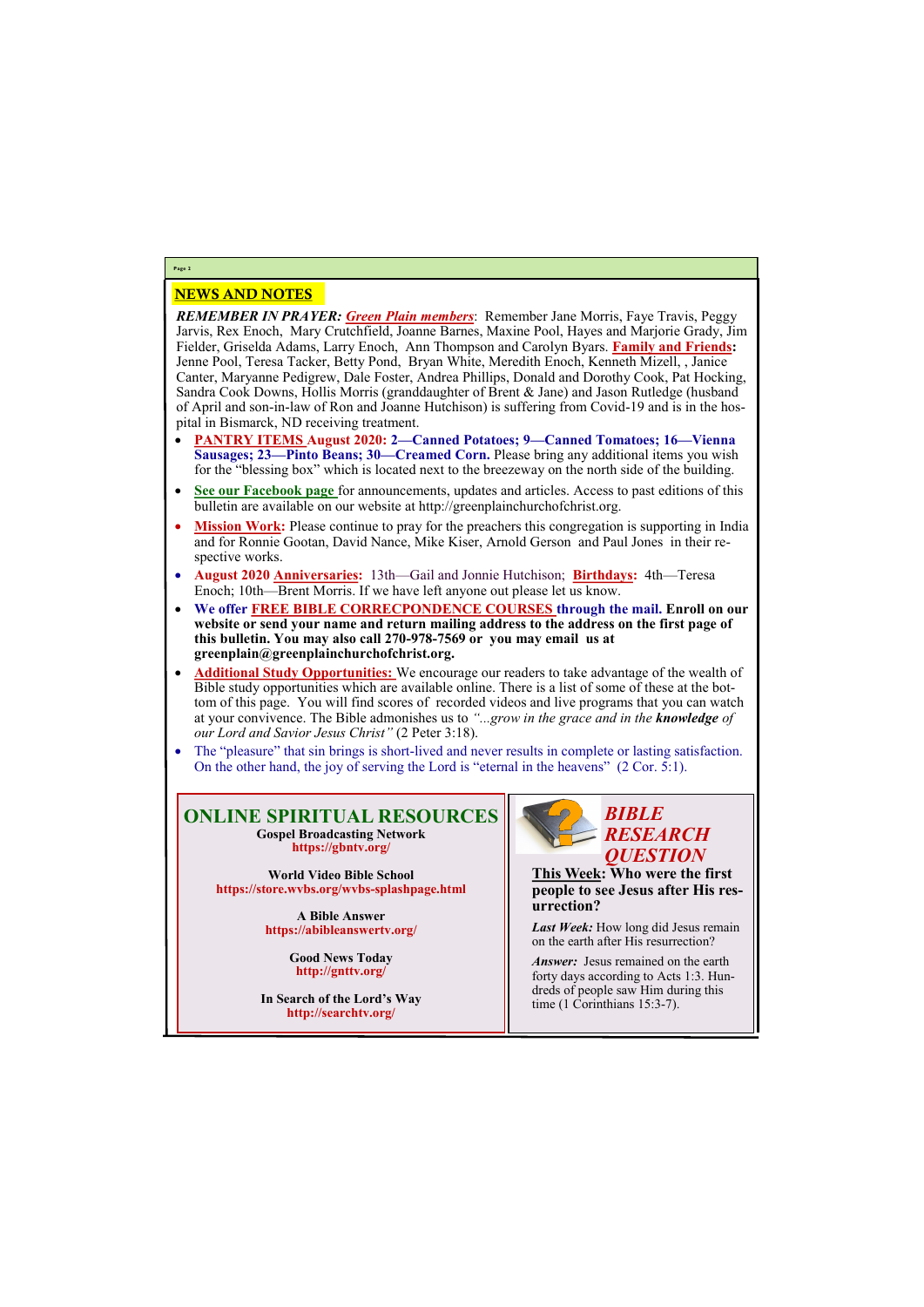# NEWS AND NOTES

*REMEMBER IN PRAYER: Green Plain members*: Remember Jane Morris, Faye Travis, Peggy Jarvis, Rex Enoch, Mary Crutchfield, Joanne Barnes, Maxine Pool, Hayes and Marjorie Grady, Jim Fielder, Griselda Adams, Larry Enoch, Ann Thompson and Carolyn Byars. **Family and Friends:**  Jenne Pool, Teresa Tacker, Betty Pond, Bryan White, Meredith Enoch, Kenneth Mizell, , Janice Canter, Maryanne Pedigrew, Dale Foster, Andrea Phillips, Donald and Dorothy Cook, Pat Hocking, Sandra Cook Downs, Hollis Morris (granddaughter of Brent & Jane) and Jason Rutledge (husband of April and son-in-law of Ron and Joanne Hutchison) is suffering from Covid-19 and is in the hospital in Bismarck, ND receiving treatment.

> *Answer:* Jesus remained on the earth forty days according to Acts 1:3. Hundreds of people saw Him during this time (1 Corinthians 15:3-7).

- **PANTRY ITEMS August 2020: 2—Canned Potatoes; 9—Canned Tomatoes; 16—Vienna Sausages; 23—Pinto Beans; 30—Creamed Corn.** Please bring any additional items you wish for the "blessing box" which is located next to the breezeway on the north side of the building.
- **See our Facebook page** for announcements, updates and articles. Access to past editions of this bulletin are available on our website at http://greenplainchurchofchrist.org.
- **Mission Work:** Please continue to pray for the preachers this congregation is supporting in India and for Ronnie Gootan, David Nance, Mike Kiser, Arnold Gerson and Paul Jones in their respective works.
- **August 2020 Anniversaries:** 13th—Gail and Jonnie Hutchison; **Birthdays:** 4th—Teresa Enoch; 10th—Brent Morris. If we have left anyone out please let us know.
- **We offer FREE BIBLE CORRECPONDENCE COURSES through the mail. Enroll on our website or send your name and return mailing address to the address on the first page of this bulletin. You may also call 270-978-7569 or you may email us at greenplain@greenplainchurchofchrist.org.**
- **Additional Study Opportunities:** We encourage our readers to take advantage of the wealth of Bible study opportunities which are available online. There is a list of some of these at the bottom of this page. You will find scores of recorded videos and live programs that you can watch at your convivence. The Bible admonishes us to *"...grow in the grace and in the knowledge of our Lord and Savior Jesus Christ"* (2 Peter 3:18).
- The "pleasure" that sin brings is short-lived and never results in complete or lasting satisfaction. On the other hand, the joy of serving the Lord is "eternal in the heavens" (2 Cor. 5:1).

**Page 2**

# **ONLINE SPIRITUAL RESOURCES Gospel Broadcasting Network https://gbntv.org/**

**World Video Bible School https://store.wvbs.org/wvbs-splashpage.html**

> **A Bible Answer https://abibleanswertv.org/**

> > **Good News Today http://gnttv.org/**

**In Search of the Lord's Way http://searchtv.org/**



**This Week: Who were the first people to see Jesus after His resurrection?**

*Last Week:* How long did Jesus remain on the earth after His resurrection?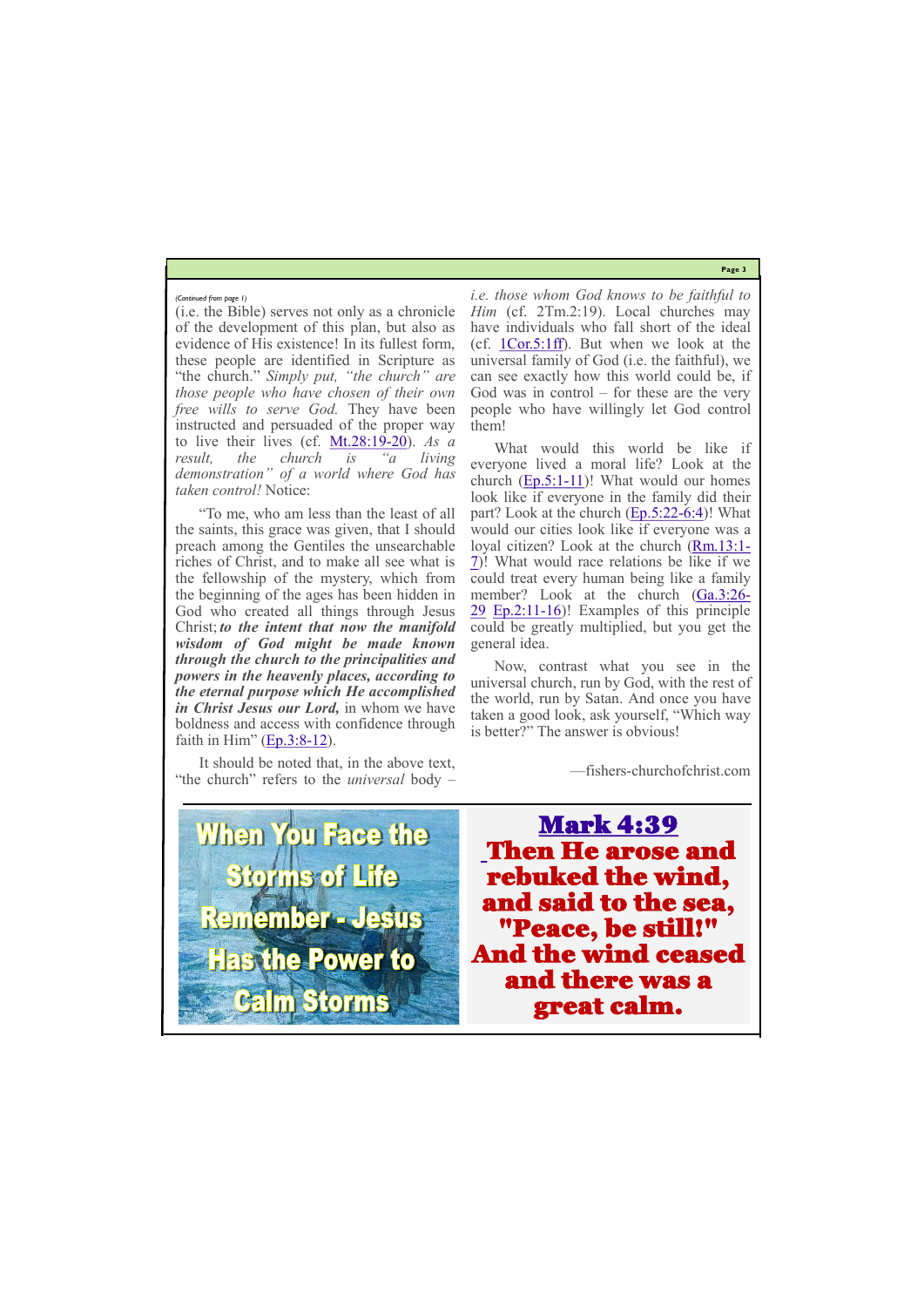**Page 3**

"To me, who am less than the least of all the saints, this grace was given, that I should preach among the Gentiles the unsearchable riches of Christ, and to make all see what is the fellowship of the mystery, which from the beginning of the ages has been hidden in God who created all things through Jesus Christ; *to the intent that now the manifold wisdom of God might be made known through the church to the principalities and powers in the heavenly places, according to the eternal purpose which He accomplished in Christ Jesus our Lord,* in whom we have boldness and access with confidence through faith in Him"  $(Ep.3:8-12)$  $(Ep.3:8-12)$  $(Ep.3:8-12)$ .

(i.e. the Bible) serves not only as a chronicle of the development of this plan, but also as evidence of His existence! In its fullest form, these people are identified in Scripture as "the church." *Simply put, "the church" are those people who have chosen of their own free wills to serve God.* They have been instructed and persuaded of the proper way to live their lives (cf. [Mt.28:19](https://biblia.com/bible/nkjv/Matt.28.19-20)-20). *As a result, the church is "a living demonstration" of a world where God has taken control!* Notice:

It should be noted that, in the above text, "the church" refers to the *universal* body *–*

*i.e. those whom God knows to be faithful to Him* (cf. 2Tm.2:19). Local churches may have individuals who fall short of the ideal (cf. [1Cor.5:1ff\).](https://biblia.com/bible/nkjv/1%20Cor.5.1ff) But when we look at the universal family of God (i.e. the faithful), we can see exactly how this world could be, if God was in control – for these are the very people who have willingly let God control them!

What would this world be like if everyone lived a moral life? Look at the church  $(Ep.5:1-11)$  $(Ep.5:1-11)$ ! What would our homes look like if everyone in the family did their part? Look at the church ([Ep.5:22](https://biblia.com/bible/nkjv/Eph.5.22-6.4)-6:4)! What would our cities look like if everyone was a loyal citizen? Look at the church [\(Rm.13:1](https://biblia.com/bible/nkjv/Rom.13.1-7)-[7\)!](https://biblia.com/bible/nkjv/Rom.13.1-7) What would race relations be like if we could treat every human being like a family member? Look at the church [\(Ga.3:26](https://biblia.com/bible/nkjv/Gal.3.26-29)- [29](https://biblia.com/bible/nkjv/Gal.3.26-29) [Ep.2:11](https://biblia.com/bible/nkjv/Eph.2.11-16)-16)! Examples of this principle could be greatly multiplied, but you get the general idea.

Now, contrast what you see in the universal church, run by God, with the rest of the world, run by Satan. And once you have taken a good look, ask yourself, "Which way is better?" The answer is obvious!

—fishers-churchofchrist.com

**When You Face the Storms of Life** Remember - Jesus **Has the Power to** 

*(Continued from page 1)*

Mark 4:39 Then He arose and rebuked the wind, and said to the sea, "Peace, be still!" And the wind ceased and there was a